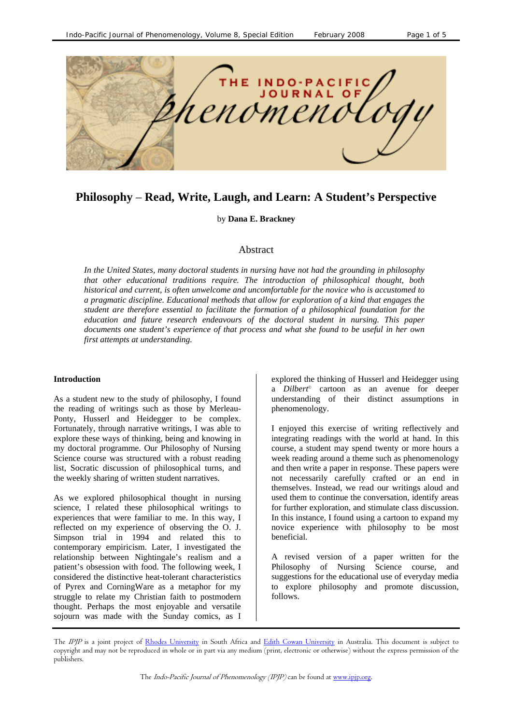

# **Philosophy** – **Read, Write, Laugh, and Learn: A Student's Perspective**

by **Dana E. Brackney**

## Abstract

*In the United States, many doctoral students in nursing have not had the grounding in philosophy that other educational traditions require. The introduction of philosophical thought, both historical and current, is often unwelcome and uncomfortable for the novice who is accustomed to a pragmatic discipline. Educational methods that allow for exploration of a kind that engages the student are therefore essential to facilitate the formation of a philosophical foundation for the education and future research endeavours of the doctoral student in nursing. This paper documents one student's experience of that process and what she found to be useful in her own first attempts at understanding.* 

#### **Introduction**

As a student new to the study of philosophy, I found the reading of writings such as those by Merleau-Ponty, Husserl and Heidegger to be complex. Fortunately, through narrative writings, I was able to explore these ways of thinking, being and knowing in my doctoral programme. Our Philosophy of Nursing Science course was structured with a robust reading list, Socratic discussion of philosophical turns, and the weekly sharing of written student narratives.

As we explored philosophical thought in nursing science, I related these philosophical writings to experiences that were familiar to me. In this way, I reflected on my experience of observing the O. J. Simpson trial in 1994 and related this to contemporary empiricism. Later, I investigated the relationship between Nightingale's realism and a patient's obsession with food. The following week, I considered the distinctive heat-tolerant characteristics of Pyrex and CorningWare as a metaphor for my struggle to relate my Christian faith to postmodern thought. Perhaps the most enjoyable and versatile sojourn was made with the Sunday comics, as I

explored the thinking of Husserl and Heidegger using a *Dilbert*© cartoon as an avenue for deeper understanding of their distinct assumptions in phenomenology.

I enjoyed this exercise of writing reflectively and integrating readings with the world at hand. In this course, a student may spend twenty or more hours a week reading around a theme such as phenomenology and then write a paper in response. These papers were not necessarily carefully crafted or an end in themselves. Instead, we read our writings aloud and used them to continue the conversation, identify areas for further exploration, and stimulate class discussion. In this instance, I found using a cartoon to expand my novice experience with philosophy to be most beneficial.

A revised version of a paper written for the Philosophy of Nursing Science course, and suggestions for the educational use of everyday media to explore philosophy and promote discussion, follows.

The IPJP is a joint project of Rhodes University in South Africa and Edith Cowan University in Australia. This document is subject to copyright and may not be reproduced in whole or in part via any medium (print, electronic or otherwise) without the express permission of the publishers.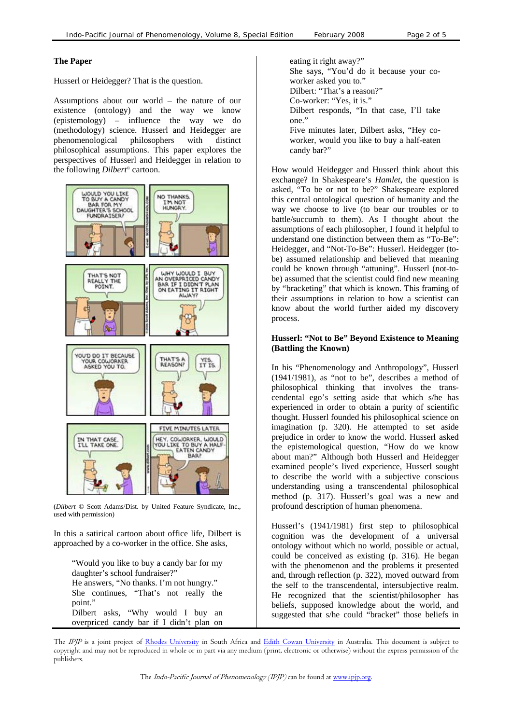## **The Paper**

Husserl or Heidegger? That is the question.

Assumptions about our world – the nature of our existence (ontology) and the way we know (epistemology) – influence the way we do (methodology) science. Husserl and Heidegger are phenomenological philosophers with distinct philosophical assumptions. This paper explores the perspectives of Husserl and Heidegger in relation to the following *Dilbert*© cartoon.



(*Dilbert* © Scott Adams/Dist. by United Feature Syndicate, Inc., used with permission)

In this a satirical cartoon about office life, Dilbert is approached by a co-worker in the office. She asks,

"Would you like to buy a candy bar for my daughter's school fundraiser?" He answers, "No thanks. I'm not hungry." She continues, "That's not really the point." Dilbert asks, "Why would I buy an overpriced candy bar if I didn't plan on eating it right away?" She says, "You'd do i t because your co- Dilbert: "That's a reason?" Dilbert responds, "In that case, I'll take Five minutes later, Dilbert asks, "Hey coworker asked you to." Co-worker: "Yes, it is." one." worker, would you like to buy a half-eaten candy bar?"

How would Heidegger and Husserl think about this exchange? In Shakespeare's *Hamlet*, the question is asked, "To be or not to be?" Shakespeare explored this central ontological question of humanity and the way we choose to live (to bear our troubles or to battle/succumb to them). As I thought about the assumptions of each philosopher, I found it helpful to understand one distinction between them as "To-Be": Heidegger, and "Not-To-Be": Husserl. Heidegger (tobe) assumed relationship and believed that meaning could be known through "attuning". Husserl (not-tobe) assumed that the scientist could find new meaning by "bracketing" that which is known. This framing of their assumptions in relation to how a scientist can know about the world further aided my discovery process.

### Husserl: "Not to Be" Beyond Existence to Meaning **(Battling the Known)**

In his "Phenomenology and Anthropology", Husserl (1941/1981), as "not to be", describes a method of philosophical thinking that involves the transcendental ego's setting aside that which s/he has experienced in order to obtain a purity of scientific thought. Husserl founded his philosophical science on imagination (p. 320). He attempted to set aside prejudice in order to know the world. Husserl asked the epistemological question, "How do we know about man?" Although both Husserl and Heidegger examined people's lived experience, Husserl sought to describe the world with a subjective conscious understanding using a transcendental philosophical method (p. 317). Husserl's goal was a new and profound description of human phenomena.

Husserl's (1941/1981) first step to philosophical cognition was the development of a universal ontology without which no world, possible or actual, could be conceived as existing (p. 316). He began with the phenomenon and the problems it presented and, through reflection (p. 322), moved outward from the self to the transcendental, intersubjective realm. He recognized that the scientist/philosopher has beliefs, supposed knowledge about the world, and suggested that s/he could "bracket" those beliefs in

The IPJP is a joint project of Rhodes University in South Africa and Edith Cowan University in Australia. This document is subject to copyright and may not be reproduced in whole or in part via any medium (print, electronic or otherwise) without the express permission of the publishers.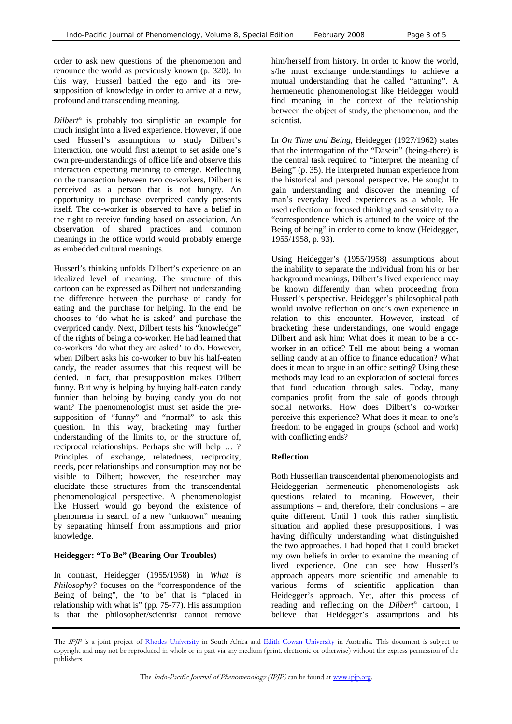order to ask new questions of the phenomenon and renounce the world as previously known (p. 320). In this way, Husserl battled the ego and its presupposition of knowledge in order to arrive at a new, profound and transcending meaning.

 $Dilbert^{\circ}$  is probably too simplistic an example for much insight into a lived experience. However, if one used Husserl's assumptions to study Dilbert's interaction, one would first attempt to set aside one's own pre-understandings of office life and observe this interaction expecting meaning to emerge. Reflecting on the transaction between two co-workers, Dilbert is perceived as a person that is not hungry. An opportunity to purchase overpriced candy presents itself. The co-worker is observed to have a belief in the right to receive funding based on association. An observation of shared practices and common meanings in the office world would probably emerge as embedded cultural meanings.

Husserl's thinking unfolds Dilbert's experience on an idealized level of meaning. The structure of this cartoon can be expressed as Dilbert not understanding the difference between the purchase of candy for eating and the purchase for helping. In the end, he chooses to 'do what he is asked' and purchase the overpriced candy. Next, Dilbert tests his "knowledge" of the rights of being a co-worker. He had learned that co-workers 'do what they are asked' to do. However, when Dilbert asks his co-worker to buy his half-eaten candy, the reader assumes that this request will be denied. In fact, that presupposition makes Dilbert funny. But why is helping by buying half-eaten candy funnier than helping by buying candy you do not want? The phenomenologist must set aside the presupposition of "funny" and "normal" to ask this question. In this way, bracketing may further understanding of the limits to, or the structure of, reciprocal relationships. Perhaps she will help … ? Principles of exchange, relatedness, reciprocity, needs, peer relationships and consumption may not be visible to Dilbert; however, the researcher may elucidate these structures from the transcendental phenomenological perspective. A phenomenologist like Husserl would go beyond the existence of phenomena in search of a new "unknown" meaning by separating himself from assumptions and prior knowledge.

#### **eidegger: "To Be" (Bearing Our Troubles) H**

In contrast, Heidegger (1955/1958) in *What is Philosophy?* focuses on the "correspondence of the Being of being", the 'to be' that is "placed in relationship with what is" (pp. 75-77). His assumption is that the philosopher/scientist cannot remove

him/herself from history. In order to know the world, s/he must exchange understandings to achieve a mutual understanding that he called "attuning". A hermeneutic phenomenologist like Heidegger would find meaning in the context of the relationship between the object of study, the phenomenon, and the scientist.

In *On Time and Being*, Heidegger (1927/1962) states that the interrogation of the "Dasein" (being-there) is the central task required to "interpret the meaning of Being" (p. 35). He interpreted human experience from the historical and personal perspective. He sought to gain understanding and discover the meaning of man's everyday lived experiences as a whole. He used reflection or focused thinking and sensitivity to a "correspondence which is attuned to the voice of the Being of being" in order to come to know (Heidegger, 1955/1958, p. 93).

Using Heidegger's (1955/1958) assumptions about the inability to separate the individual from his or her background meanings, Dilbert's lived experience may be known differently than when proceeding from Husserl's perspective. Heidegger's philosophical path would involve reflection on one's own experience in relation to this encounter. However, instead of bracketing these understandings, one would engage Dilbert and ask him: What does it mean to be a coworker in an office? Tell me about being a woman selling candy at an office to finance education? What does it mean to argue in an office setting? Using these methods may lead to an exploration of societal forces that fund education through sales. Today, many companies profit from the sale of goods through social networks. How does Dilbert's co-worker perceive this experience? What does it mean to one's freedom to be engaged in groups (school and work) with conflicting ends?

#### **eflection R**

Both Husserlian transcendental phenomenologists and Heideggerian hermeneutic phenomenologists ask questions related to meaning. However, their assumptions – and, therefore, their conclusions – are quite different. Until I took this rather simplistic situation and applied these presuppositions, I was having difficulty understanding what distinguished the two approaches. I had hoped that I could bracket my own beliefs in order to examine the meaning of lived experience. One can see how Husserl's approach appears more scientific and amenable to various forms of scientific application than Heidegger's approach. Yet, after this process of reading and reflecting on the *Dilbert*<sup>®</sup> cartoon, I believe that Heidegger's assumptions and his

The IPJP is a joint project of Rhodes University in South Africa and Edith Cowan University in Australia. This document is subject to copyright and may not be reproduced in whole or in part via any medium (print, electronic or otherwise) without the express permission of the publishers.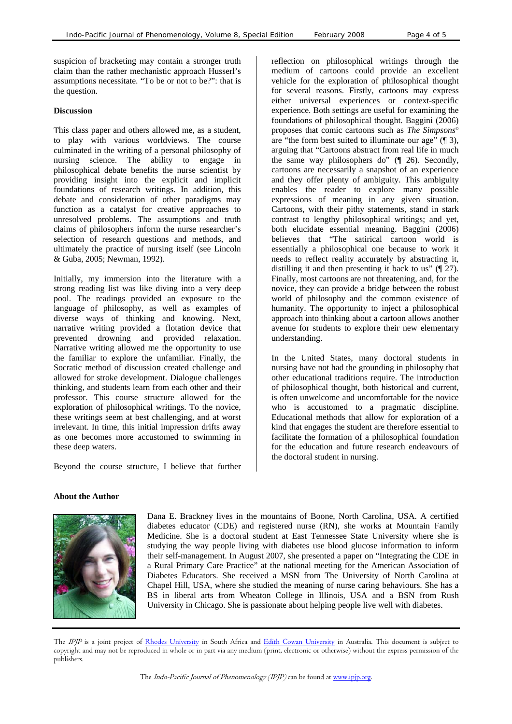suspicion of bracketing may contain a stronger truth claim than the rather mechanistic approach Husserl's assumptions necessitate. "To be or not to be?": that is the question.

### **iscussion D**

This class paper and others allowed me, as a student, to play with various worldviews. The course culminated in the writing of a personal philosophy of nursing science. The ability to engage in philosophical debate benefits the nurse scientist by providing insight into the explicit and implicit foundations of research writings. In addition, this debate and consideration of other paradigms may function as a catalyst for creative approaches to unresolved problems. The assumptions and truth claims of philosophers inform the nurse researcher's selection of research questions and methods, and ultimately the practice of nursing itself (see Lincoln & Guba, 2005; Newman, 1992).

Initially, my immersion into the literature with a strong reading list was like diving into a very deep pool. The readings provided an exposure to the language of philosophy, as well as examples of diverse ways of thinking and knowing. Next, narrative writing provided a flotation device that prevented drowning and provided relaxation. Narrative writing allowed me the opportunity to use the familiar to explore the unfamiliar. Finally, the Socratic method of discussion created challenge and allowed for stroke development. Dialogue challenges thinking, and students learn from each other and their professor. This course structure allowed for the exploration of philosophical writings. To the novice, these writings seem at best challenging, and at worst irrelevant. In time, this initial impression drifts away as one becomes more accustomed to swimming in these deep waters.

Beyond the course structure, I believe that further

reflection on philosophical writings through the medium of cartoons could provide an excellent vehicle for the exploration of philosophical thought for several reasons. Firstly, cartoons may express either universal experiences or context-specific experience. Both settings are useful for examining the foundations of philosophical thought. Baggini (2006) proposes that comic cartoons such as *The Simpsons*© are "the form best suited to illuminate our age"  $(\P 3)$ , arguing that "Cartoons abstract from real life in much the same way philosophers do" (¶ 26). Secondly, cartoons are necessarily a snapshot of an experience and they offer plenty of ambiguity. This ambiguity enables the reader to explore many possible expressions of meaning in any given situation. Cartoons, with their pithy statements, stand in stark contrast to lengthy philosophical writings; and yet, both elucidate essential meaning. Baggini (2006) believes that "The satirical cartoon world is essentially a philosophical one because to work it needs to reflect reality accurately by abstracting it, distilling it and then presenting it back to us" (¶ 27). Finally, most cartoons are not threatening, and, for the novice, they can provide a bridge between the robust world of philosophy and the common existence of humanity. The opportunity to inject a philosophical approach into thinking about a cartoon allows another avenue for students to explore their new elementary understanding.

In the United States, many doctoral students in nursing have not had the grounding in philosophy that other educational traditions require. The introduction of philosophical thought, both historical and current, is often unwelcome and uncomfortable for the novice who is accustomed to a pragmatic discipline. Educational methods that allow for exploration of a kind that engages the student are therefore essential to facilitate the formation of a philosophical foundation for the education and future research endeavours of the doctoral student in nursing.

#### **About the Author**



Dana E. Brackney lives in the mountains of Boone, North Carolina, USA. A certified diabetes educator (CDE) and registered nurse (RN), she works at Mountain Family Medicine. She is a doctoral student at East Tennessee State University where she is studying the way people living with diabetes use blood glucose information to inform their self-management. In August 2007, she presented a paper on "Integrating the CDE in a Rural Primary Care Practice" at the national meeting for the American Association of Diabetes Educators. She received a MSN from The University of North Carolina at Chapel Hill, USA, where she studied the meaning of nurse caring behaviours. She has a BS in liberal arts from Wheaton College in Illinois, USA and a BSN from Rush University in Chicago. She is passionate about helping people live well with diabetes.

The IPJP is a joint project of Rhodes University in South Africa and Edith Cowan University in Australia. This document is subject to copyright and may not be reproduced in whole or in part via any medium (print, electronic or otherwise) without the express permission of the publishers.